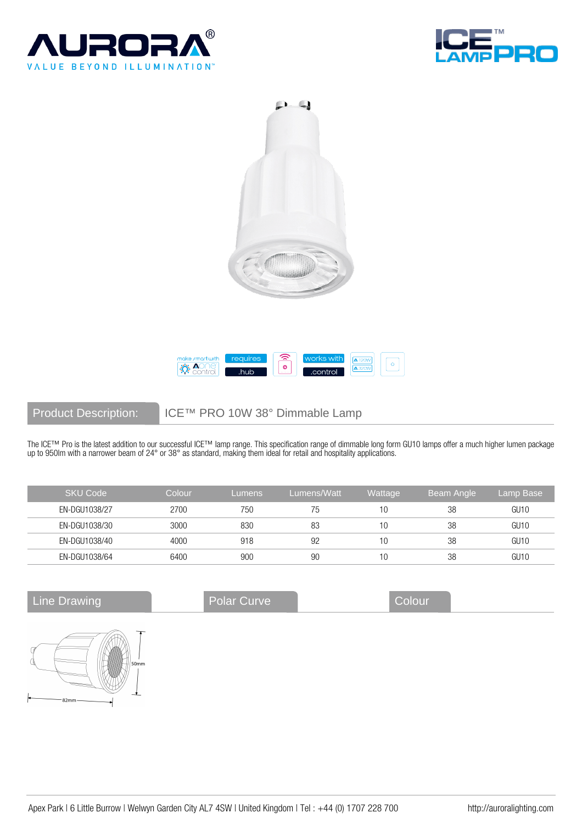







# Product Description: ICE™ PRO 10W 38° Dimmable Lamp

The ICE™ Pro is the latest addition to our successful ICE™ lamp range. This specification range of dimmable long form GU10 lamps offer a much higher lumen package up to 950lm with a narrower beam of 24° or 38° as standard, making them ideal for retail and hospitality applications.

| <b>SKU Code</b> | Colour | <b>Lumens</b> | Lumens/Watt | Wattage | Beam Angle | Lamp Base |
|-----------------|--------|---------------|-------------|---------|------------|-----------|
| EN-DGU1038/27   | 2700   | 750           | 75          | 10      | 38         | GU10      |
| EN-DGU1038/30   | 3000   | 830           | 83          | 10      | 38         | GU10      |
| EN-DGU1038/40   | 4000   | 918           | 92          | 10      | 38         | GU10      |
| EN-DGU1038/64   | 6400   | 900           | 90          | 10      | 38         | GU10      |